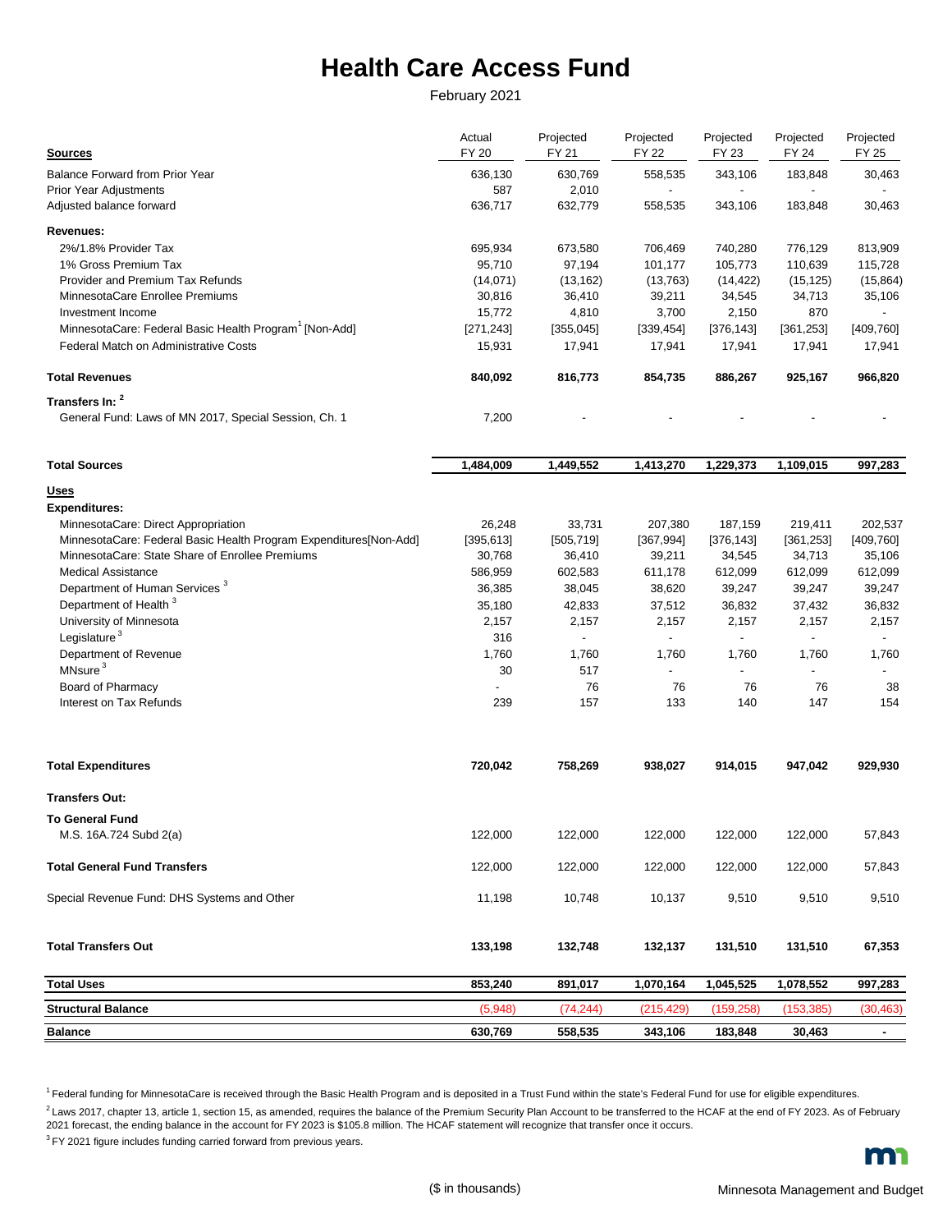## **Health Care Access Fund**

February 2021

| <b>Sources</b>                                                     | Actual<br><b>FY 20</b> | Projected<br>FY 21 | Projected<br><b>FY 22</b> | Projected<br>FY 23       | Projected<br>FY 24       | Projected<br>FY 25       |
|--------------------------------------------------------------------|------------------------|--------------------|---------------------------|--------------------------|--------------------------|--------------------------|
| <b>Balance Forward from Prior Year</b>                             | 636.130                | 630,769            | 558,535                   | 343,106                  | 183,848                  | 30,463                   |
| <b>Prior Year Adjustments</b>                                      | 587                    | 2,010              | $\overline{\phantom{a}}$  | $\blacksquare$           |                          | $\overline{\phantom{a}}$ |
| Adjusted balance forward                                           | 636,717                | 632,779            | 558,535                   | 343,106                  | 183,848                  | 30,463                   |
| Revenues:                                                          |                        |                    |                           |                          |                          |                          |
| 2%/1.8% Provider Tax                                               | 695,934                | 673,580            | 706,469                   | 740,280                  | 776,129                  | 813,909                  |
| 1% Gross Premium Tax                                               | 95,710                 | 97,194             | 101,177                   | 105,773                  | 110,639                  | 115,728                  |
| Provider and Premium Tax Refunds                                   | (14,071)               | (13, 162)          | (13,763)                  | (14, 422)                | (15, 125)                | (15, 864)                |
| MinnesotaCare Enrollee Premiums                                    | 30,816                 | 36,410             | 39,211                    | 34,545                   | 34,713                   | 35,106                   |
| Investment Income                                                  | 15,772                 | 4,810              | 3,700                     | 2,150                    | 870                      |                          |
| MinnesotaCare: Federal Basic Health Program <sup>1</sup> [Non-Add] | [271, 243]             | [355,045]          | [339, 454]                | [376, 143]               | [361, 253]               | [409,760]                |
| Federal Match on Administrative Costs                              | 15,931                 | 17,941             | 17,941                    | 17,941                   | 17,941                   | 17,941                   |
| <b>Total Revenues</b>                                              | 840,092                | 816,773            | 854,735                   | 886,267                  | 925,167                  | 966,820                  |
| Transfers In: 2                                                    |                        |                    |                           |                          |                          |                          |
| General Fund: Laws of MN 2017, Special Session, Ch. 1              | 7,200                  |                    |                           |                          |                          |                          |
| <b>Total Sources</b>                                               | 1,484,009              | 1,449,552          | 1,413,270                 | 1,229,373                | 1,109,015                | 997,283                  |
| <u>Uses</u>                                                        |                        |                    |                           |                          |                          |                          |
| <b>Expenditures:</b>                                               |                        |                    |                           |                          |                          |                          |
| MinnesotaCare: Direct Appropriation                                | 26,248                 | 33,731             | 207,380                   | 187,159                  | 219,411                  | 202,537                  |
| MinnesotaCare: Federal Basic Health Program Expenditures[Non-Add]  | [395, 613]             | [505, 719]         | [367, 994]                | [376, 143]               | [361, 253]               | [409, 760]               |
| MinnesotaCare: State Share of Enrollee Premiums                    | 30,768                 | 36,410             | 39,211                    | 34,545                   | 34,713                   | 35,106                   |
| <b>Medical Assistance</b>                                          | 586,959                | 602,583            | 611,178                   | 612,099                  | 612,099                  | 612,099                  |
| Department of Human Services <sup>3</sup>                          | 36,385                 | 38,045             | 38,620                    | 39,247                   | 39,247                   | 39,247                   |
| Department of Health <sup>3</sup>                                  | 35,180                 | 42,833             | 37,512                    | 36,832                   | 37,432                   | 36,832                   |
| University of Minnesota                                            | 2,157                  | 2,157              | 2,157                     | 2,157                    | 2,157                    | 2,157                    |
| Legislature <sup>3</sup>                                           | 316                    | $\frac{1}{2}$      | $\blacksquare$            | $\overline{\phantom{a}}$ | $\overline{\phantom{a}}$ | $\overline{\phantom{a}}$ |
| Department of Revenue                                              | 1,760                  | 1,760              | 1,760                     | 1,760                    | 1,760                    | 1,760                    |
| MNsure <sup>3</sup>                                                | 30                     | 517                | $\blacksquare$            | $\blacksquare$           |                          | $\blacksquare$           |
| Board of Pharmacy                                                  |                        | 76                 | 76                        | 76                       | 76                       | 38                       |
| Interest on Tax Refunds                                            | 239                    | 157                | 133                       | 140                      | 147                      | 154                      |
| <b>Total Expenditures</b>                                          | 720,042                | 758,269            | 938,027                   | 914,015                  | 947,042                  | 929,930                  |
| <b>Transfers Out:</b>                                              |                        |                    |                           |                          |                          |                          |
| <b>To General Fund</b>                                             |                        |                    |                           |                          |                          |                          |
| M.S. 16A.724 Subd 2(a)                                             | 122,000                | 122,000            | 122,000                   | 122,000                  | 122,000                  | 57,843                   |
| <b>Total General Fund Transfers</b>                                | 122,000                | 122,000            | 122,000                   | 122,000                  | 122,000                  | 57,843                   |
| Special Revenue Fund: DHS Systems and Other                        | 11,198                 | 10,748             | 10,137                    | 9,510                    | 9,510                    | 9,510                    |
| <b>Total Transfers Out</b>                                         | 133,198                | 132,748            | 132,137                   | 131,510                  | 131,510                  | 67,353                   |
| <b>Total Uses</b>                                                  | 853,240                | 891,017            | 1,070,164                 | 1,045,525                | 1,078,552                | 997,283                  |
| <b>Structural Balance</b>                                          | (5,948)                | (74, 244)          | (215, 429)                | (159, 258)               | (153, 385)               | (30, 463)                |
| <b>Balance</b>                                                     | 630,769                | 558,535            | 343,106                   | 183,848                  | 30,463                   | $\blacksquare$           |

<sup>1</sup>Federal funding for MinnesotaCare is received through the Basic Health Program and is deposited in a Trust Fund within the state's Federal Fund for use for eligible expenditures.

 $2$  Laws 2017, chapter 13, article 1, section 15, as amended, requires the balance of the Premium Security Plan Account to be transferred to the HCAF at the end of FY 2023. As of February 2021 forecast, the ending balance in the account for FY 2023 is \$105.8 million. The HCAF statement will recognize that transfer once it occurs.

<sup>3</sup> FY 2021 figure includes funding carried forward from previous years.

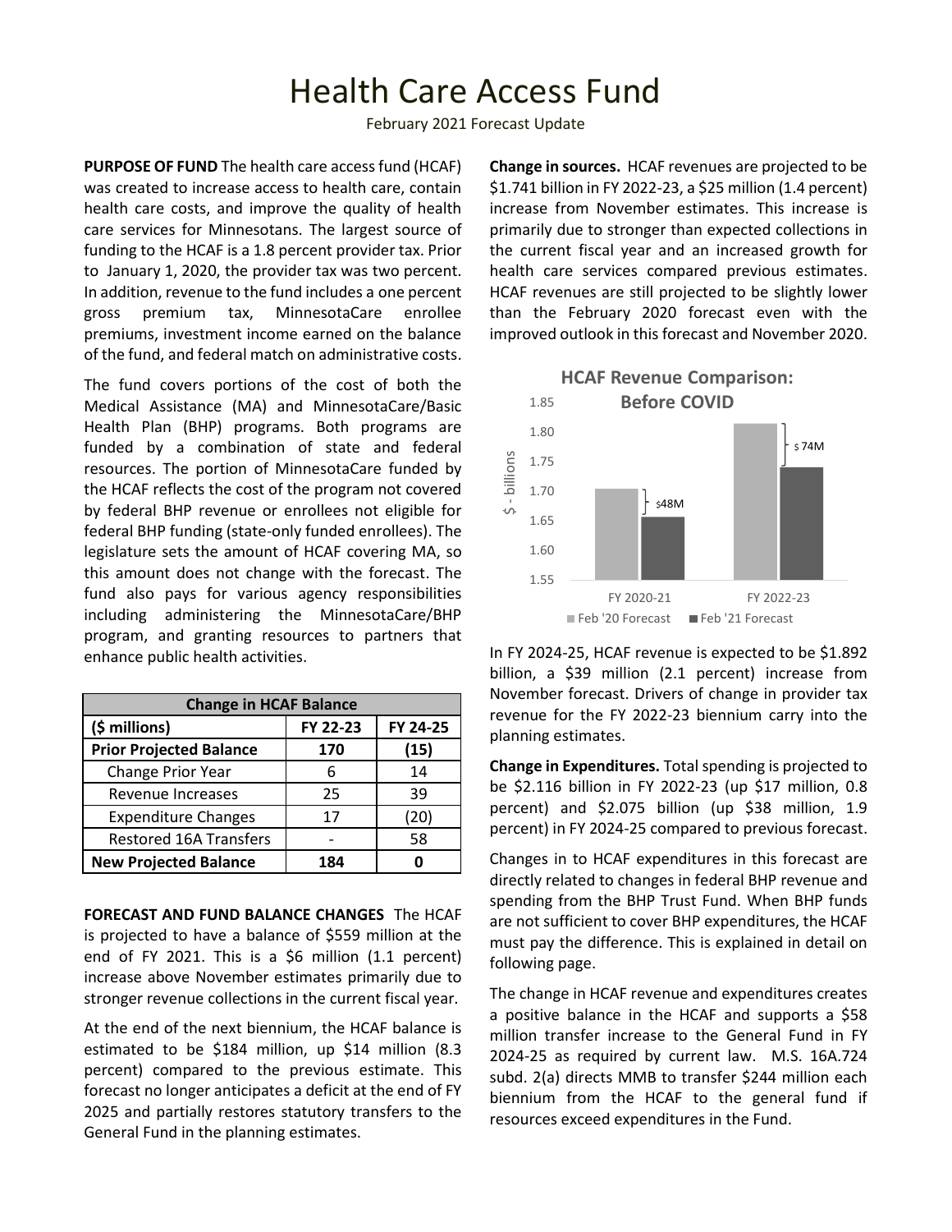## Health Care Access Fund

February 2021 Forecast Update

**PURPOSE OF FUND** The health care access fund (HCAF) was created to increase access to health care, contain health care costs, and improve the quality of health care services for Minnesotans. The largest source of funding to the HCAF is a 1.8 percent provider tax. Prior to January 1, 2020, the provider tax was two percent. In addition, revenue to the fund includes a one percent gross premium tax, MinnesotaCare enrollee premiums, investment income earned on the balance of the fund, and federal match on administrative costs.

The fund covers portions of the cost of both the Medical Assistance (MA) and MinnesotaCare/Basic Health Plan (BHP) programs. Both programs are funded by a combination of state and federal resources. The portion of MinnesotaCare funded by the HCAF reflects the cost of the program not covered by federal BHP revenue or enrollees not eligible for federal BHP funding (state-only funded enrollees). The legislature sets the amount of HCAF covering MA, so this amount does not change with the forecast. The fund also pays for various agency responsibilities including administering the MinnesotaCare/BHP program, and granting resources to partners that enhance public health activities.

| <b>Change in HCAF Balance</b>  |          |          |  |  |  |  |
|--------------------------------|----------|----------|--|--|--|--|
| $(\xi millions)$               | FY 22-23 | FY 24-25 |  |  |  |  |
| <b>Prior Projected Balance</b> | 170      | (15)     |  |  |  |  |
| Change Prior Year              |          | 14       |  |  |  |  |
| Revenue Increases              | 25       | 39       |  |  |  |  |
| <b>Expenditure Changes</b>     | 17       | (20)     |  |  |  |  |
| <b>Restored 16A Transfers</b>  |          | 58       |  |  |  |  |
| <b>New Projected Balance</b>   | 184      |          |  |  |  |  |

**FORECAST AND FUND BALANCE CHANGES** The HCAF is projected to have a balance of \$559 million at the end of FY 2021. This is a  $$6$  million (1.1 percent) increase above November estimates primarily due to stronger revenue collections in the current fiscal year.

At the end of the next biennium, the HCAF balance is estimated to be \$184 million, up \$14 million (8.3 percent) compared to the previous estimate. This forecast no longer anticipates a deficit at the end of FY 2025 and partially restores statutory transfers to the General Fund in the planning estimates.

**Change in sources.** HCAF revenues are projected to be \$1.741 billion in FY 2022-23, a \$25 million (1.4 percent) increase from November estimates. This increase is primarily due to stronger than expected collections in the current fiscal year and an increased growth for health care services compared previous estimates. HCAF revenues are still projected to be slightly lower than the February 2020 forecast even with the improved outlook in this forecast and November 2020.



In FY 2024-25, HCAF revenue is expected to be \$1.892 billion, a \$39 million (2.1 percent) increase from November forecast. Drivers of change in provider tax revenue for the FY 2022-23 biennium carry into the planning estimates.

**Change in Expenditures.** Total spending is projected to be \$2.116 billion in FY 2022-23 (up \$17 million, 0.8 percent) and \$2.075 billion (up \$38 million, 1.9 percent) in FY 2024-25 compared to previous forecast.

Changes in to HCAF expenditures in this forecast are directly related to changes in federal BHP revenue and spending from the BHP Trust Fund. When BHP funds are not sufficient to cover BHP expenditures, the HCAF must pay the difference. This is explained in detail on following page.

The change in HCAF revenue and expenditures creates a positive balance in the HCAF and supports a \$58 million transfer increase to the General Fund in FY 2024-25 as required by current law. M.S. 16A.724 subd. 2(a) directs MMB to transfer \$244 million each biennium from the HCAF to the general fund if resources exceed expenditures in the Fund.